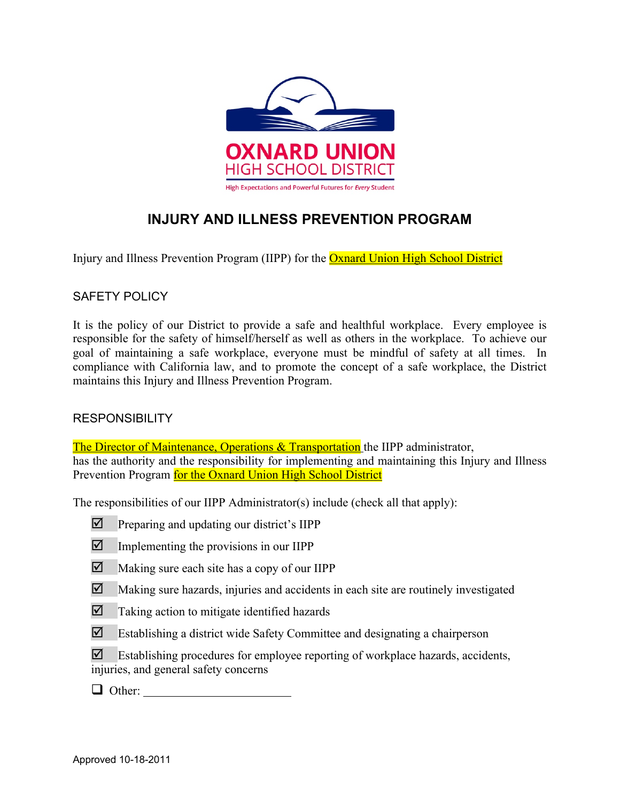

# **INJURY AND ILLNESS PREVENTION PROGRAM**

Injury and Illness Prevention Program (IIPP) for the Oxnard Union High School District

## SAFETY POLICY

It is the policy of our District to provide a safe and healthful workplace. Every employee is responsible for the safety of himself/herself as well as others in the workplace. To achieve our goal of maintaining a safe workplace, everyone must be mindful of safety at all times. In compliance with California law, and to promote the concept of a safe workplace, the District maintains this Injury and Illness Prevention Program.

## **RESPONSIBILITY**

The Director of Maintenance, Operations  $\&$  Transportation the IIPP administrator, has the authority and the responsibility for implementing and maintaining this Injury and Illness Prevention Program for the Oxnard Union High School District

The responsibilities of our IIPP Administrator(s) include (check all that apply):

- $\triangledown$  Preparing and updating our district's IIPP
- $\triangleright$  Implementing the provisions in our IIPP
- $\nabla$  Making sure each site has a copy of our IIPP
- $\boxtimes$  Making sure hazards, injuries and accidents in each site are routinely investigated
- $\boxtimes$  Taking action to mitigate identified hazards
- $\boxtimes$  Establishing a district wide Safety Committee and designating a chairperson
- $\boxtimes$  Establishing procedures for employee reporting of workplace hazards, accidents, injuries, and general safety concerns
- $\Box$  Other: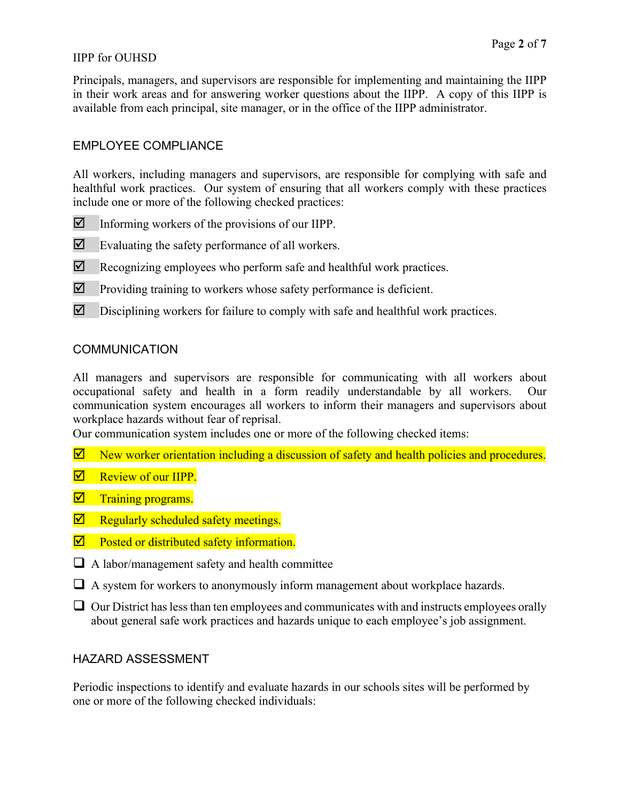## IIPP for OUHSD

Principals, managers, and supervisors are responsible for implementing and maintaining the IIPP in their work areas and for answering worker questions about the IIPP. A copy of this IIPP is available from each principal, site manager, or in the office of the IIPP administrator.

## EMPLOYEE COMPLIANCE

All workers, including managers and supervisors, are responsible for complying with safe and healthful work practices. Our system of ensuring that all workers comply with these practices include one or more of the following checked practices:

- $\nabla$  Informing workers of the provisions of our IIPP.
- $\boxtimes$  Evaluating the safety performance of all workers.
- $\boxtimes$  Recognizing employees who perform safe and healthful work practices.
- $\triangledown$  Providing training to workers whose safety performance is deficient.
- $\boxtimes$  Disciplining workers for failure to comply with safe and healthful work practices.

## **COMMUNICATION**

All managers and supervisors are responsible for communicating with all workers about occupational safety and health in a form readily understandable by all workers. Our communication system encourages all workers to inform their managers and supervisors about workplace hazards without fear of reprisal.

Our communication system includes one or more of the following checked items:

- $\Box$  New worker orientation including a discussion of safety and health policies and procedures.
- $\nabla$  Review of our IIPP.
- $\nabla$  Training programs.
- $\nabla$  Regularly scheduled safety meetings.
- $\nabla$  Posted or distributed safety information.
- $\Box$  A labor/management safety and health committee
- $\Box$  A system for workers to anonymously inform management about workplace hazards.
- $\Box$  Our District has less than ten employees and communicates with and instructs employees orally about general safe work practices and hazards unique to each employee's job assignment.

## HAZARD ASSESSMENT

Periodic inspections to identify and evaluate hazards in our schools sites will be performed by one or more of the following checked individuals: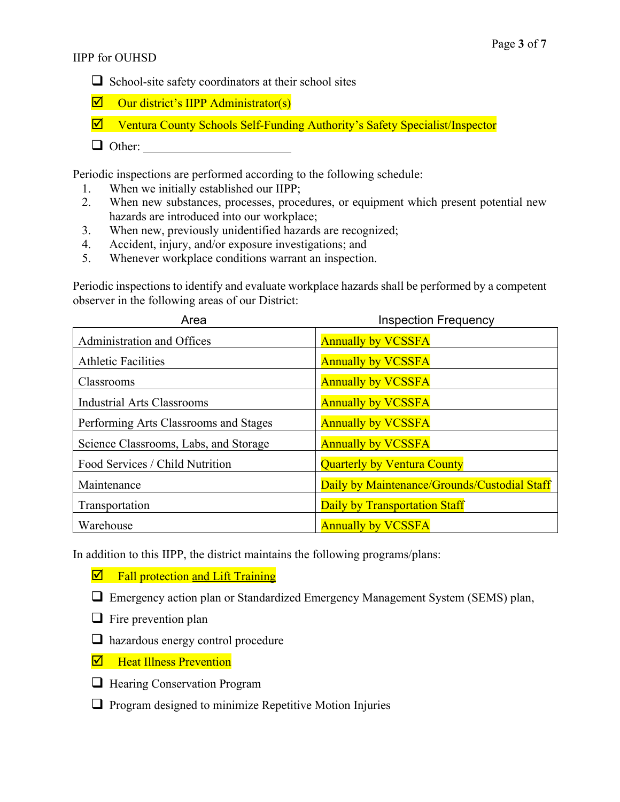- $\Box$  School-site safety coordinators at their school sites
- $\triangledown$  Our district's IIPP Administrator(s)
- $\overline{\mathbf{Y}}$  Ventura County Schools Self-Funding Authority's Safety Specialist/Inspector
- $\Box$  Other:

Periodic inspections are performed according to the following schedule:

- 1. When we initially established our IIPP;
- 2. When new substances, processes, procedures, or equipment which present potential new hazards are introduced into our workplace;
- 3. When new, previously unidentified hazards are recognized;
- 4. Accident, injury, and/or exposure investigations; and
- 5. Whenever workplace conditions warrant an inspection.

Periodic inspections to identify and evaluate workplace hazards shall be performed by a competent observer in the following areas of our District:

| Area                                  | <b>Inspection Frequency</b>                  |  |
|---------------------------------------|----------------------------------------------|--|
| Administration and Offices            | <b>Annually by VCSSFA</b>                    |  |
| <b>Athletic Facilities</b>            | <b>Annually by VCSSFA</b>                    |  |
| Classrooms                            | <b>Annually by VCSSFA</b>                    |  |
| <b>Industrial Arts Classrooms</b>     | <b>Annually by VCSSFA</b>                    |  |
| Performing Arts Classrooms and Stages | <b>Annually by VCSSFA</b>                    |  |
| Science Classrooms, Labs, and Storage | <b>Annually by VCSSFA</b>                    |  |
| Food Services / Child Nutrition       | <b>Quarterly by Ventura County</b>           |  |
| Maintenance                           | Daily by Maintenance/Grounds/Custodial Staff |  |
| Transportation                        | Daily by Transportation Staff                |  |
| Warehouse                             | <b>Annually by VCSSFA</b>                    |  |

In addition to this IIPP, the district maintains the following programs/plans:

- $\nabla$  Fall protection and Lift Training
- $\Box$  Emergency action plan or Standardized Emergency Management System (SEMS) plan,
- $\Box$  Fire prevention plan
- $\Box$  hazardous energy control procedure
- $\nabla$  Heat Illness Prevention
- **Q** Hearing Conservation Program
- $\Box$  Program designed to minimize Repetitive Motion Injuries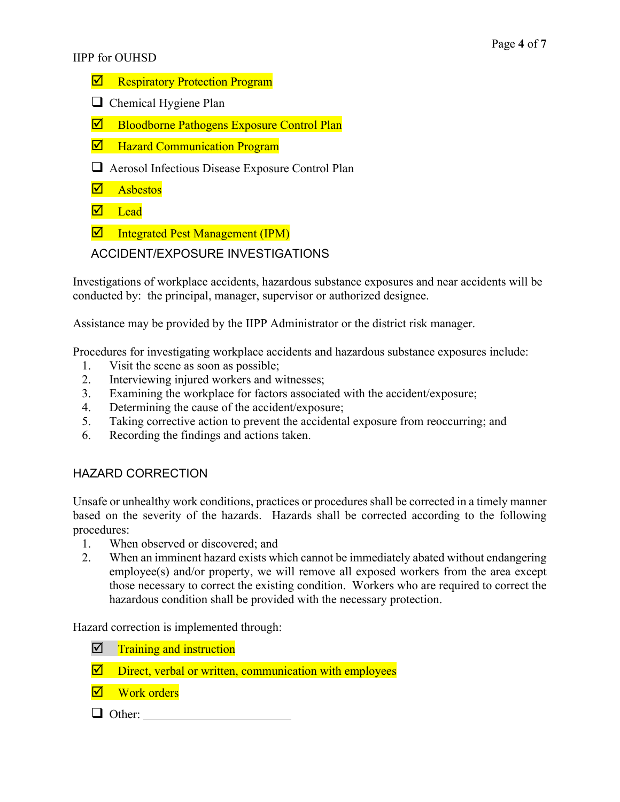### IIPP for OUHSD

- $\nabla$  Respiratory Protection Program
- $\Box$  Chemical Hygiene Plan
- $\nabla$  Bloodborne Pathogens Exposure Control Plan
- $\nabla$  Hazard Communication Program
- $\Box$  Aerosol Infectious Disease Exposure Control Plan
- $\n **As** bestos\n$
- $\nabla$  Lead
- $\overline{\mathbf{p}}$  Integrated Pest Management (IPM)

## ACCIDENT/EXPOSURE INVESTIGATIONS

Investigations of workplace accidents, hazardous substance exposures and near accidents will be conducted by: the principal, manager, supervisor or authorized designee.

Assistance may be provided by the IIPP Administrator or the district risk manager.

Procedures for investigating workplace accidents and hazardous substance exposures include:

- 1. Visit the scene as soon as possible;
- 2. Interviewing injured workers and witnesses;
- 3. Examining the workplace for factors associated with the accident/exposure;
- 4. Determining the cause of the accident/exposure;
- 5. Taking corrective action to prevent the accidental exposure from reoccurring; and
- 6. Recording the findings and actions taken.

# HAZARD CORRECTION

Unsafe or unhealthy work conditions, practices or procedures shall be corrected in a timely manner based on the severity of the hazards. Hazards shall be corrected according to the following procedures:

- 1. When observed or discovered; and
- 2. When an imminent hazard exists which cannot be immediately abated without endangering employee(s) and/or property, we will remove all exposed workers from the area except those necessary to correct the existing condition. Workers who are required to correct the hazardous condition shall be provided with the necessary protection.

Hazard correction is implemented through:

- $\nabla$  Training and instruction
- $\nabla$  Direct, verbal or written, communication with employees
- $\nabla$  Work orders
- q Other: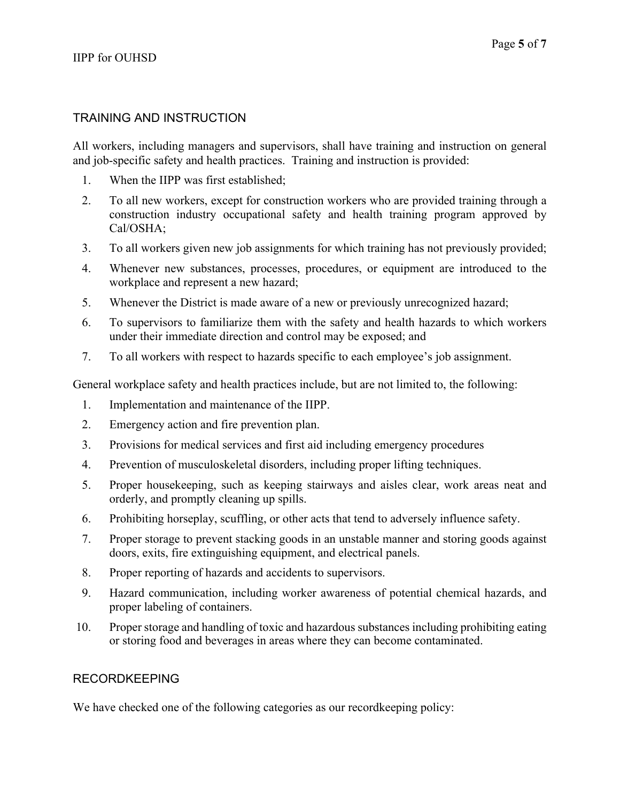## TRAINING AND INSTRUCTION

All workers, including managers and supervisors, shall have training and instruction on general and job-specific safety and health practices. Training and instruction is provided:

- 1. When the IIPP was first established;
- 2. To all new workers, except for construction workers who are provided training through a construction industry occupational safety and health training program approved by Cal/OSHA;
- 3. To all workers given new job assignments for which training has not previously provided;
- 4. Whenever new substances, processes, procedures, or equipment are introduced to the workplace and represent a new hazard;
- 5. Whenever the District is made aware of a new or previously unrecognized hazard;
- 6. To supervisors to familiarize them with the safety and health hazards to which workers under their immediate direction and control may be exposed; and
- 7. To all workers with respect to hazards specific to each employee's job assignment.

General workplace safety and health practices include, but are not limited to, the following:

- 1. Implementation and maintenance of the IIPP.
- 2. Emergency action and fire prevention plan.
- 3. Provisions for medical services and first aid including emergency procedures
- 4. Prevention of musculoskeletal disorders, including proper lifting techniques.
- 5. Proper housekeeping, such as keeping stairways and aisles clear, work areas neat and orderly, and promptly cleaning up spills.
- 6. Prohibiting horseplay, scuffling, or other acts that tend to adversely influence safety.
- 7. Proper storage to prevent stacking goods in an unstable manner and storing goods against doors, exits, fire extinguishing equipment, and electrical panels.
- 8. Proper reporting of hazards and accidents to supervisors.
- 9. Hazard communication, including worker awareness of potential chemical hazards, and proper labeling of containers.
- 10. Proper storage and handling of toxic and hazardous substances including prohibiting eating or storing food and beverages in areas where they can become contaminated.

## RECORDKEEPING

We have checked one of the following categories as our recordkeeping policy: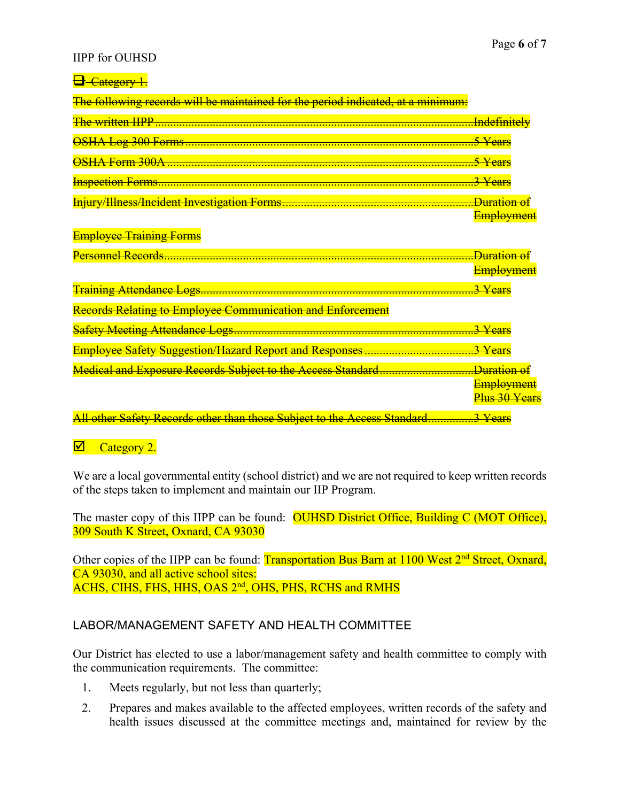### IIPP for OUHSD

| <b>a</b> -Category 1.                                                                                                                                                                                                                                                                            |                                           |
|--------------------------------------------------------------------------------------------------------------------------------------------------------------------------------------------------------------------------------------------------------------------------------------------------|-------------------------------------------|
| The following records will be maintained for the period indicated, at a minimum:                                                                                                                                                                                                                 |                                           |
|                                                                                                                                                                                                                                                                                                  |                                           |
|                                                                                                                                                                                                                                                                                                  | <del>.5 Years</del>                       |
|                                                                                                                                                                                                                                                                                                  | 5 Years                                   |
|                                                                                                                                                                                                                                                                                                  | 3 Years                                   |
|                                                                                                                                                                                                                                                                                                  | <del>Duration of</del>                    |
|                                                                                                                                                                                                                                                                                                  | Employment                                |
| <b>Employee Training Forms</b>                                                                                                                                                                                                                                                                   |                                           |
|                                                                                                                                                                                                                                                                                                  | <del>Duration of.</del>                   |
|                                                                                                                                                                                                                                                                                                  | <b>Employment</b>                         |
|                                                                                                                                                                                                                                                                                                  | <del>.3 Years</del>                       |
| Records Relating to Employee Communication and Enforcement                                                                                                                                                                                                                                       |                                           |
|                                                                                                                                                                                                                                                                                                  | 3 Years                                   |
|                                                                                                                                                                                                                                                                                                  | <del>.3 Years</del>                       |
|                                                                                                                                                                                                                                                                                                  | <b>Employment</b><br><b>Plus 30 Years</b> |
| $\mathbf{A}$ and $\mathbf{A}$ and $\mathbf{A}$ and $\mathbf{A}$ and $\mathbf{A}$ and $\mathbf{A}$ and $\mathbf{A}$ and $\mathbf{A}$ and $\mathbf{A}$ and $\mathbf{A}$ and $\mathbf{A}$ and $\mathbf{A}$ and $\mathbf{A}$ and $\mathbf{A}$ and $\mathbf{A}$ and $\mathbf{A}$ and $\mathbf{A}$ and | $\sim$ $\mathbf{v}$ $\sim$                |

All other Safety Records other than those Subject to the Access Standard......

# $\overline{\mathcal{D}}$  Category 2.

We are a local governmental entity (school district) and we are not required to keep written records of the steps taken to implement and maintain our IIP Program.

The master copy of this IIPP can be found: **OUHSD District Office, Building C (MOT Office)**, 309 South K Street, Oxnard, CA 93030

Other copies of the IIPP can be found: Transportation Bus Barn at 1100 West 2<sup>nd</sup> Street, Oxnard, CA 93030, and all active school sites: ACHS, CIHS, FHS, HHS, OAS 2<sup>nd</sup>, OHS, PHS, RCHS and RMHS

# LABOR/MANAGEMENT SAFETY AND HEALTH COMMITTEE

Our District has elected to use a labor/management safety and health committee to comply with the communication requirements. The committee:

- 1. Meets regularly, but not less than quarterly;
- 2. Prepares and makes available to the affected employees, written records of the safety and health issues discussed at the committee meetings and, maintained for review by the